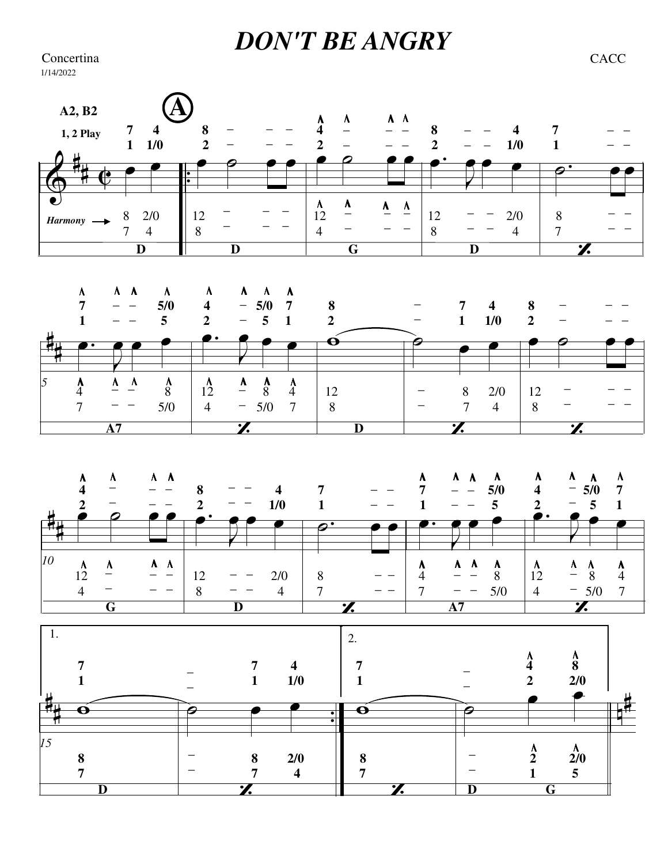## *DON'T BE ANGRY* Concertina CACC

1/14/2022